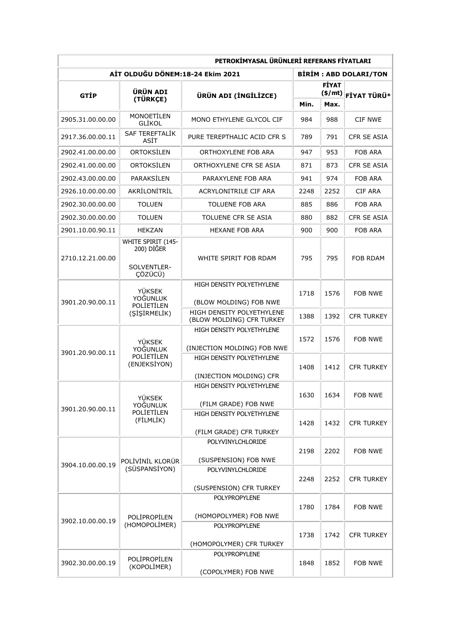| PETROKİMYASAL ÜRÜNLERİ REFERANS FİYATLARI |                                                                   |                                                          |      |                                     |                    |  |  |  |
|-------------------------------------------|-------------------------------------------------------------------|----------------------------------------------------------|------|-------------------------------------|--------------------|--|--|--|
| AİT OLDUĞU DÖNEM:18-24 Ekim 2021          |                                                                   |                                                          |      | <b>BIRIM: ABD DOLARI/TON</b>        |                    |  |  |  |
| GTİP                                      | <b>ÜRÜN ADI</b><br>(TÜRKÇE)                                       | ÜRÜN ADI (İNGİLİZCE)                                     |      | <b>FİYAT</b><br>(\$/mt) FİYAT TÜRÜ* |                    |  |  |  |
|                                           |                                                                   |                                                          | Min. | Max.                                |                    |  |  |  |
| 2905.31.00.00.00                          | <b>MONOETILEN</b><br>GLİKOL                                       | MONO ETHYLENE GLYCOL CIF                                 | 984  | 988                                 | <b>CIF NWE</b>     |  |  |  |
| 2917.36.00.00.11                          | SAF TEREFTALİK<br>ASİT                                            | PURE TEREPTHALIC ACID CFR S                              | 789  | 791                                 | CFR SE ASIA        |  |  |  |
| 2902.41.00.00.00                          | ORTOKSİLEN                                                        | ORTHOXYLENE FOB ARA                                      | 947  | 953                                 | FOB ARA            |  |  |  |
| 2902.41.00.00.00                          | ORTOKSİLEN                                                        | ORTHOXYLENE CFR SE ASIA                                  | 871  | 873                                 | <b>CFR SE ASIA</b> |  |  |  |
| 2902.43.00.00.00                          | PARAKSILEN                                                        | PARAXYLENE FOB ARA                                       | 941  | 974                                 | FOB ARA            |  |  |  |
| 2926.10.00.00.00                          | AKRİLONİTRİL                                                      | ACRYLONITRILE CIF ARA                                    | 2248 | 2252                                | CIF ARA            |  |  |  |
| 2902.30.00.00.00                          | <b>TOLUEN</b>                                                     | <b>TOLUENE FOB ARA</b>                                   | 885  | 886                                 | FOB ARA            |  |  |  |
| 2902.30.00.00.00                          | <b>TOLUEN</b>                                                     | TOLUENE CFR SE ASIA                                      | 880  | 882                                 | CFR SE ASIA        |  |  |  |
| 2901.10.00.90.11                          | <b>HEKZAN</b>                                                     | <b>HEXANE FOB ARA</b>                                    | 900  | 900                                 | FOB ARA            |  |  |  |
| 2710.12.21.00.00                          | <b>WHITE SPIRIT (145-</b><br>200) DİĞER<br>SOLVENTLER-<br>ÇÖZÜCÜ) | WHITE SPIRIT FOB RDAM                                    | 795  | 795                                 | FOB RDAM           |  |  |  |
| 3901.20.90.00.11                          | <b>YÜKSEK</b><br>YOĞUNLUK<br><b>POLIETILEN</b><br>(SİŞİRMELİK)    | HIGH DENSITY POLYETHYLENE<br>(BLOW MOLDING) FOB NWE      | 1718 | 1576                                | <b>FOB NWE</b>     |  |  |  |
|                                           |                                                                   | HIGH DENSITY POLYETHYLENE<br>(BLOW MOLDING) CFR TURKEY   | 1388 | 1392                                | <b>CFR TURKEY</b>  |  |  |  |
| 3901.20.90.00.11                          | <b>YÜKSEK</b><br>YOĞUNLUK<br>POLIETILEN<br>(ENJEKSIYON)           | HIGH DENSITY POLYETHYLENE<br>(INJECTION MOLDING) FOB NWE | 1572 | 1576                                | <b>FOB NWE</b>     |  |  |  |
|                                           |                                                                   | HIGH DENSITY POLYETHYLENE<br>(INJECTION MOLDING) CFR     | 1408 | 1412                                | <b>CFR TURKEY</b>  |  |  |  |
| 3901.20.90.00.11                          | <b>YÜKSEK</b><br>YOĞUNLUK<br>POLIETILEN<br>(FİLMLİK)              | HIGH DENSITY POLYETHYLENE<br>(FILM GRADE) FOB NWE        | 1630 | 1634                                | FOB NWE            |  |  |  |
|                                           |                                                                   | HIGH DENSITY POLYETHYLENE<br>(FILM GRADE) CFR TURKEY     | 1428 | 1432                                | <b>CFR TURKEY</b>  |  |  |  |
| 3904.10.00.00.19                          | POLİVİNİL KLORÜR<br>(SÜSPANSİYON)                                 | <b>POLYVINYLCHLORIDE</b><br>(SUSPENSION) FOB NWE         | 2198 | 2202                                | FOB NWE            |  |  |  |
|                                           |                                                                   | POLYVINYLCHLORIDE<br>(SUSPENSION) CFR TURKEY             | 2248 | 2252                                | <b>CFR TURKEY</b>  |  |  |  |
| 3902.10.00.00.19                          | POLİPROPİLEN<br>(HOMOPOLİMER)                                     | <b>POLYPROPYLENE</b><br>(HOMOPOLYMER) FOB NWE            | 1780 | 1784                                | FOB NWE            |  |  |  |
|                                           |                                                                   | <b>POLYPROPYLENE</b><br>(HOMOPOLYMER) CFR TURKEY         | 1738 | 1742                                | <b>CFR TURKEY</b>  |  |  |  |
| 3902.30.00.00.19                          | POLİPROPİLEN<br>(KOPOLİMER)                                       | POLYPROPYLENE<br>(COPOLYMER) FOB NWE                     | 1848 | 1852                                | FOB NWE            |  |  |  |